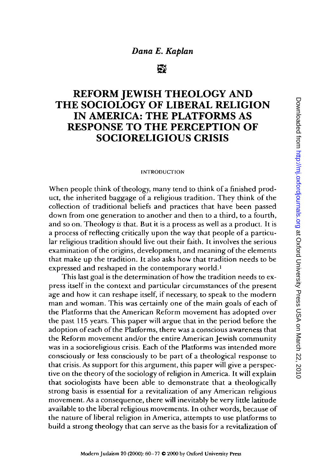## *Dana E. Kaplan*

පා

# REFORM JEWISH THEOLOGY AND THE SOCIOLOGY OF LIBERAL RELIGION IN AMERICA: THE PLATFORMS AS RESPONSE TO THE PERCEPTION OF SOCIORELIGIOUS CRISIS

#### INTRODUCTION

When people think of theology, many tend to think of a finished product, the inherited baggage of a religious tradition. They think of the collection of traditional beliefs and practices that have been passed down from one generation to another and then to a third, to a fourth, and so on. Theology *is* that. But it is a process as well as a product. It is a process of reflecting critically upon the way that people of a particular religious tradition should live out their faith. It involves the serious examination of the origins, development, and meaning of the elements that make up the tradition. It also asks how that tradition needs to be expressed and reshaped in the contemporary world.<sup>1</sup>

This last goaJ is the determination of how the tradition needs to express itself in the context and particular circumstances of the present age and how it can reshape itself, if necessary, to speak to the modern man and woman. This was certainly one of the main goals of each of the Platforms that the American Reform movement has adopted over the past 115 years. This paper will argue that in the period before the adoption of each of the Platforms, there was a conscious awareness that the Reform movement and/or the entire American Jewish community was in a socioreligious crisis. Each of the Platforms was intended more consciously or less consciously to be part of a theological response to that crisis. As support for this argument, this paper will give a perspective on the theory of the sociology of religion in America. It will explain that sociologists have been able to demonstrate that a theologically strong basis is essential for a revitalization of any American religious movement. As a consequence, there will inevitably be very little latitude available to the liberal religious movements. In other words, because of the nature of liberal religion in America, attempts to use platforms to build a strong theology that can serve as the basis for a revitalization of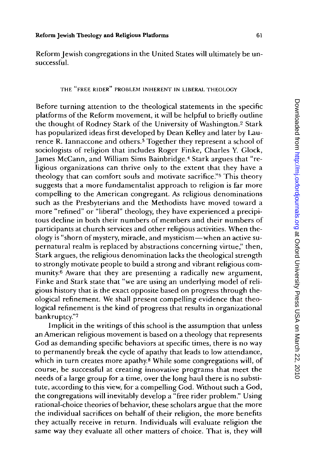Reform Jewish congregations in the United States will ultimately be unsuccessful.

THE "FREE RIDER" PROBLEM INHERENT IN LIBERAL THEOLOGY

Before turning attention to the theological statements in the specific platforms of the Reform movement, it will be helpful to briefly oudine .<br>the thought of Rodney Stark of the University of Washington.<sup>2</sup> Stark has popularized ideas first developed by Dean Kelley and later by Laurence R. Iannaccone and others.<sup>3</sup> Together they represent a school of sociologists of religion that includes Roger Finke, Charles Y. Glock, James McCann, and William Sims Bainbridge.<sup>4</sup> Stark argues that "religious organizations can thrive only to the extent that they have a theology that can comfort souls and motivate sacrifice."<sup>5</sup> This theory suggests that a more fundamentalist approach to religion is far more compelling to the American congregant. As religious denominations such as the Presbyterians and the Methodists have moved toward a more "refined" or "liberal" theology, they have experienced a precipitous decline in both their numbers of members and their numbers of participants at church services and other religious activities. When theology is "shorn of mystery, miracle, and mysticism—when an active supernatural realm is replaced by abstractions concerning virtue," then, Stark argues, the religious denomination lacks the theological strength to strongly motivate people to build a strong and vibrant religious community.<sup>6</sup> Aware that they are presenting a radically new argument, Finke and Stark state that "we are using an underlying model of religious history that is the exact opposite based on progress through theological refinement. We shall present compelling evidence that theological refinement is the kind of progress that results in organizational bankruptcy."<sup>7</sup>

Implicit in the writings of this school is the assumption that unless an American religious movement is based on a theology that represents God as demanding specific behaviors at specific times, there is no way to permanently break the cycle of apathy that leads to low attendance, which in turn creates more apathy.<sup>8</sup> While some congregations will, of course, be successful at creating innovative programs that meet the needs of a large group for a time, over the long haul there is no substitute, according to this view, for a compelling God. Without such a God, the congregations will inevitably develop a "free rider problem." Using rational-choice theories of behavior, these scholars argue that the more the individual sacrifices on behalf of their religion, the more benefits they actually receive in return. Individuals will evaluate religion the same way they evaluate all other matters of choice. That is, they will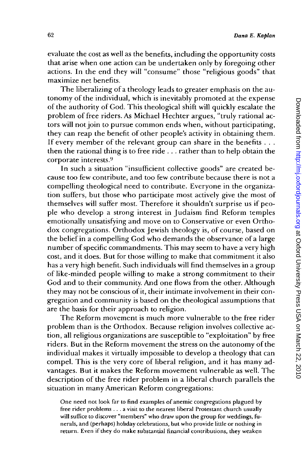evaluate the cost as well as the benefits, including the opportunity costs that arise when one action can be undertaken only by foregoing other actions. In the end they will "consume" those "religious goods" that maximize net benefits.

The liberalizing of a theology leads to greater emphasis on the autonomy of the individual, which is inevitably promoted at the expense of the authority of God. This theological shift will quickly escalate the problem of free riders. As Michael Hechter argues, "truly rational actors will not join to pursue common ends when, without participating, they can reap the benefit of other people's activity in obtaining them. If every member of the relevant group can share in the benefits . . . then the rational thing is to free ride . . . rather than to help obtain the corporate interests.<sup>9</sup>

In such a situation "insufficient collective goods" are created because too few contribute, and too few contribute because there is not a compelling theological need to contribute. Everyone in the organization suffers, but those who participate most actively give the most of themselves will suffer most. Therefore it shouldn't surprise us if people who develop a strong interest in Judaism find Reform temples emotionally unsatisfying and move on to Conservative or even Orthodox congregations. Orthodox Jewish theology is, of course, based on the belief in a compelling God who demands the observance of a large number of specific commandments. This may seem to have a very high cost, and it does. But for those willing to make that commitment it also has a very high benefit. Such individuals will find themselves in a group of like-minded people willing to make a strong commitment to their God and to their community. And one flows from the other. Although they may not be conscious of it, their intimate involvement in their congregation and community is based on the theological assumptions that are the basis for their approach to religion.

The Reform movement is much more vulnerable to the free rider problem than is the Orthodox. Because religion involves collective action, all religious organizations are susceptible to "exploitation" by free riders. But in the Reform movement the stress on the autonomy of the individual makes it virtually impossible to develop a theology that can compel. This is the very core of liberal religion, and it has many advantages. But it makes the Reform movement vulnerable as well. The description of the free rider problem in a liberal church parallels the situation in many American Reform congregations:

One need not look far to find examples of anemic congregations plagued by free rider problems .. . a visit to the nearest liberal Protestant church usually will suffice to discover "members" who draw upon the group for weddings, funerals, and (perhaps) holiday celebrations, but who provide little or nothing in return. Even if they do make substantial financial contributions, they weaken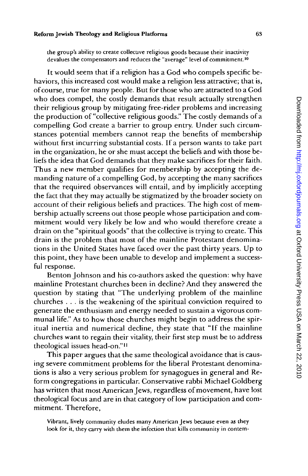the group's ability to create collective religious goods because their inactivity devalues the compensators and reduces the "average" level of commitment.<sup>10</sup>

It would seem that if a religion has a God who compels specific behaviors, this increased cost would make a religion less attractive; that is, of course, true for many people. But for those who are attracted to a God who does compel, the costly demands that result actually strengthen their religious group by mitigating free-rider problems and increasing the production of "collective religious goods." The cosdy demands of a compelling God create a barrier to group entry. Under such circumstances potential members cannot reap the benefits of membership without first incurring substantial costs. If a person wants to take part in the organization, he or she must accept the beliefs and with those beliefs the idea that God demands that they make sacrifices for their faith. Thus a new member qualifies for membership by accepting the demanding nature of a compelling God, by accepting the many sacrifices that the required observances will entail, and by implicitly accepting the fact that they may actually be stigmatized by the broader society on account of their religious beliefs and practices. The high cost of membership actually screens out those people whose participation and commitment would very likely be low and who would therefore create a drain on the "spiritual goods" that die collective is trying to create. This drain is the problem that most of the mainline Protestant denominations in the United States have faced over the past thirty years. Up to this point, they have been unable to develop and implement a successful response.

Benton Johnson and his co-authors asked the question: why have mainline Protestant churches been in decline? And they answered the question by stating that "The underlying problem of the mainline churches .. . is the weakening of the spiritual conviction required to generate the enthusiasm and energy needed to sustain a vigorous communal life." As to how those churches might begin to address the spiritual inertia and numerical decline, they state that "If the mainline churches want to regain their vitality, their first step must be to address theological issues head-on."<sup>11</sup>

This paper argues that the same theological avoidance that is causing severe commitment problems for the liberal Protestant denominations is also a very serious problem for synagogues in general and Reform congregations in particular. Conservative rabbi Michael Goldberg has written that most American Jews, regardless of movement, have lost theological focus and are in that category of low participation and commitment. Therefore,

Vibrant, lively community eludes many American Jews because even as they look for it, they carry with them the infection that kills community in contem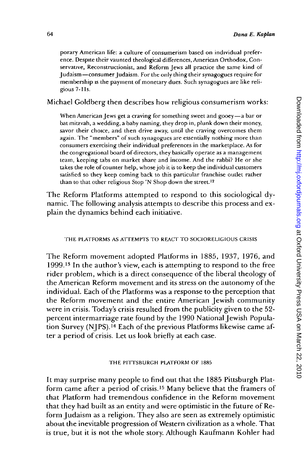porary American life: a culture of consumerism based on individual preference. Despite their vaunted theological differences, American Orthodox, Conservative, Reconstructionist, and Reform Jews all practice the same kind of Judaism—consumer Judaism. For the only thing their synagogues require for membership is the payment of monetary dues. Such synagogues are like religious 7-1 Is.

Michael Goldberg then describes how religious consumerism works:

When American Jews get a craving for something sweet and gooey—a bar or bat mitzvah, a wedding, a baby naming, they drop in, plunk down their money, savor their choice, and then drive away, until the craving overcomes them again. The "members" of such synagogues are essentially nothing more than consumers exercising their individual preferences in the marketplace. As for the congregational board of directors, they basically operate as a management team, keeping tabs on market share and income. And the rabbi? He or she takes the role of counter help, whose job it is to keep the individual customers satisfied so they keep coming back to this particular franchise outlet rather than to that other religious Stop 'N Shop down the street.<sup>12</sup>

The Reform Platforms attempted to respond to this sociological dynamic. The following analysis attempts to describe this process and explain the dynamics behind each initiative.

## THE PLATFORMS AS ATTEMPTS TO REACT TO SOCIORELIGIOUS CRISIS

The Reform movement adopted Platforms in 1885, 1937, 1976, and 1999.<sup>13</sup> In the author's view, each is attempting to respond to the free rider problem, which is a direct consequence of the liberal theology of the American Reform movement and its stress on the autonomy of the individual. Each of the Platforms was a response to the perception that the Reform movement and the entire American Jewish community were in crisis. Today's crisis resulted from the publicity given to the 52 percent intermarriage rate found by the 1990 National Jewish Popula-.<br>tion Survey (NJPS).<sup>14</sup> Each of the previous Platforms likewise came after a period of crisis. Let us look briefly at each case.

## THE PITTSBURGH PLATFORM OF 1885

It may surprise many people to find out that the 1885 Pittsburgh Platform came after a period of crisis.<sup>15</sup> Many believe that the framers of that Platform had tremendous confidence in the Reform movement that they had built as an entity and were optimistic in the future of Reform Judaism as a religion. They also are seen as extremely optimistic about the inevitable progression of Western civilization as a whole. That is true, but it is not the whole story. Although Kaufmann Kohler had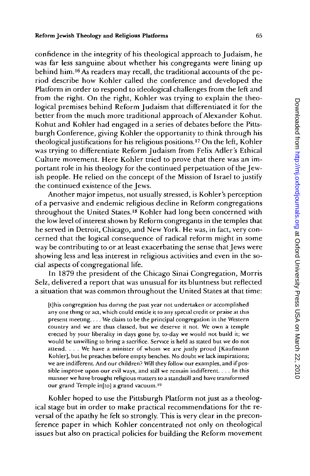confidence in the integrity of his theological approach to Judaism, he was far less sanguine about whether his congregants were lining up behind him.<sup>16</sup> As readers may recall, the traditional accounts of the period describe how Kohler called the conference and developed the Platform in order to respond to ideological challenges from the left and from the right. On the right, Kohler was trying to explain the theological premises behind Reform Judaism that differentiated it for the better from the much more traditional approach of Alexander Kohut. Kohut and Kohler had engaged in a series of debates before the Pittsburgh Conference, giving Kohler the opportunity to think through his theological justifications for his religious positions.<sup>17</sup> On the left, Kohler was trying to differentiate Reform Judaism from Felix Adler's Ethical Culture movement. Here Kohler tried to prove that there was an important role in his theology for the continued perpetuation of the Jewish people. He relied on the concept of the Mission of Israel to justify the continued existence of the Jews.

Another major impetus, not usually stressed, is Kohler's perception of a pervasive and endemic religious decline in Reform congregations throughout the United States.<sup>18</sup> Kohler had long been concerned with the low level of interest shown by Reform congregants in the temples that he served in Detroit, Chicago, and New York. He was, in fact, very concerned that the logical consequence of radical reform might in some way be contributing to or at least exacerbating the sense that Jews were showing less and less interest in religious activities and even in the social aspects of congregational life.

In 1879 the president of the Chicago Sinai Congregation, Morris Selz, delivered a report that was unusual for its bluntness but reflected a situation that was common throughout the United States at that time:

[t]his congregation has during the past year not undertaken or accomplished any one thing or act, which could entitle it to any special credit or praise at this present meeting. . . . We claim to be the principal congregation in the Western country and we are thus classed, but we deserve it not. We own a temple erected by your liberality in days gone by, to-day we would not build it; we would be unwilling to bring a sacrifice. Service is held as stated but we do not attend. . . . We have a minister of whom we are justly proud [Kaufmann Kohler], but he preaches before empty benches. No doubt we lack inspirations; we are indifferent. And our children? Will they follow our examples, and if possible improve upon our evil ways, and still we remain indifferent. .. . In this manner we have brought religious matters to a standstill and have transformed our grand Temple in[to] a grand vacuum.<sup>19</sup>

Kohler hoped to use the Pittsburgh Platform not just as a theological stage but in order to make practical recommendations for the reversal of the apathy he felt so strongly. This is very clear in the preconference paper in which Kohler concentrated not only on theological issues but also on practical policies for building the Reform movement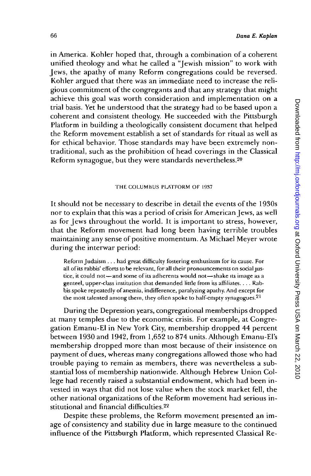in America. Kohler hoped that, through a combination of a coherent unified theology and what he called a "Jewish mission" to work with Jews, the apathy of many Reform congregations could be reversed. Kohler argued that there was an immediate need to increase the religious commitment of the congregants and that any strategy that might achieve this goal was worth consideration and implementation on a trial basis. Yet he understood that the strategy had to be based upon a coherent and consistent theology. He succeeded with the Pittsburgh Platform in building a theologically consistent document that helped the Reform movement establish a set of standards for ritual as well as for ethical behavior. Those standards may have been extremely nontraditional, such as the prohibition of head coverings in the Classical Reform synagogue, but they were standards nevertheless.<sup>20</sup>

#### THE COLUMBUS PLATFORM OF 19S7

It should not be necessary to describe in detail the events of the 1930s nor to explain that this was a period of crisis for American Jews, as well as for Jews throughout the world. It is important to stress, however, that the Reform movement had long been having terrible troubles maintaining any sense of positive momentum. As Michael Meyer wrote during the interwar period:

Reform Judaism . . . had great difficulty fostering enthusiasm for its cause. For all of **its** rabbis' efforts to be relevant, for all their pronouncements on socialjustice, it could not—and some of its adherents would not—shake its image as a genteel, upper-class institution that demanded little from its affiliates. . . . Rabbis spoke repeatedly of anemia, indifference, paralyzing apathy. And except for the most talented among them, they often spoke to half-empty synagogues.<sup>21</sup>

During the Depression years, congregational memberships dropped at many temples due to the economic crisis. For example, at Congregation Emanu-El in New York City, membership dropped 44 percent between 1930 and 1942, from 1,652 to 874 units. Although Emanu-El's membership dropped more than most because of their insistence on payment of dues, whereas many congregations allowed those who had trouble paying to remain as members, there was nevertheless a substantial loss of membership nationwide. Although Hebrew Union College had recently raised a substantial endowment, which had been invested in ways that did not lose value when the stock market fell, the other national organizations of the Reform movement had serious institutional and financial difficulties.<sup>22</sup>

Despite these problems, the Reform movement presented an image of consistency and stability due in large measure to the continued influence of the Pittsburgh Platform, which represented Classical Re-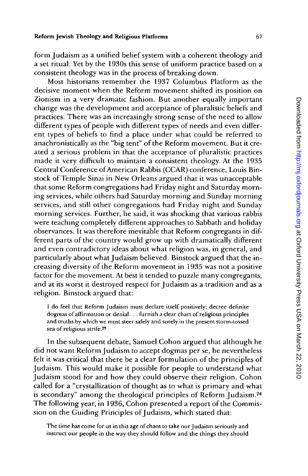form Judaism as a unified belief system with a coherent theology and a set ritual. Yet by the 1930s this sense of uniform practice based on a consistent theology was in the process of breaking down.

Most historians remember the 1937 Columbus Platform as the decisive moment when the Reform movement shifted its position on Zionism in a very dramatic fashion. But another equally important change was the development and acceptance of pluralistic beliefs and practices. There was an increasingly strong sense of the need to allow different types of people with different types of needs and even different types of beliefs to find a place under what could be referred to anachronistically as the "big tent" of the Reform movement. But it created a serious problem in that the acceptance of pluralistic practices made it very difficult to maintain a consistent theology. At the 1935 Central Conference of American Rabbis (CCAR) conference, Louis Binstock of Temple Sinai in New Orleans argued that it was unacceptable that some Reform congregations had Friday night and Saturday morning services, while others had Saturday morning and Sunday morning services, and still other congregations had Friday night and Sunday morning services. Further, he said, it was shocking that various rabbis were teaching completely different approaches to Sabbath and holiday observances. It was therefore inevitable that Reform congregants in different parts of the country would grow up with dramatically different and even contradictory ideas about what religion was, in general, and particularly about what Judaism believed. Binstock argued that the increasing diversity of the Reform movement in 1935 was not a positive factor for the movement. At best it tended to puzzle many congregants, and at its worst it destroyed respect for Judaism as a tradition and as a religion. Binstock argued that:

**I** do feel that Reform Judaism must declare itself positively; decree definite dogmas of affirmation or denial .. . furnish a clear chart of religious principles and truths by which we must steer safely and surely in the present storm-tossed sea of religious strife.<sup>25</sup>

In the subsequent debate, Samuel Cohon argued that although he did not want Reform Judaism to accept dogmas per se, he nevertheless felt it was critical that there be a clear formulation of the principles of Judaism. This would make it possible for people to understand what Judaism stood for and how they could observe their religion. Cohon called for a "crystallization of thought as to what is primary and what is secondary" among the theological principles of Reform Judaism.<sup>24</sup> The following year, in 1936, Cohon presented a report of the Commission on the Guiding Principles of Judaism, which stated that:

The time has come for us in this age of chaos to take our Judaism seriously and instruct our people in the way they should follow and the things they should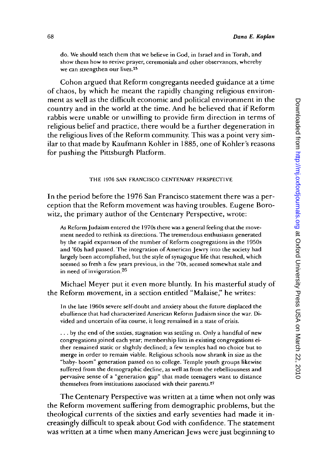do. We should teach them that we believe in God, in Israel and in Torah, and show them how to revive prayer, ceremonials and other observances, whereby we can strengthen our lives.<sup>25</sup>

Cohon argued that Reform congregants needed guidance at a time of chaos, by which he meant the rapidly changing religious environment as well as the difficult economic and political environment in the country and in the world at the time. And he believed that if Reform rabbis were unable or unwilling to provide firm direction in terms of religious belief and practice, there would be a further degeneration in the religious lives of the Reform community. This was a point very similar to that made by Kaufmann Kohler in 1885, one of Kohler's reasons for pushing the Pittsburgh Platform.

#### THE 1976 SAN FRANCISCO CENTENARY PERSPECTIVE

In the period before the 1976 San Francisco statement there was a perception that the Reform movement was having troubles. Eugene Borowitz, the primary author of the Centenary Perspective, wrote:

As Reform Judaism entered the 1970s there was a general feeling that the movement needed to rethink its directions. The tremendous enthusiasm generated by the rapid expansion of the number of Reform congregations in the 1950s and '60s had passed. The integration of American Jewry into the society had largely been accomplished, but the style of synagogue life that resulted, which seemed so fresh a few years previous, in the '70s, seemed somewhat stale and in need of invigoration. $26$ 

Michael Meyer put it even more bluntly. In his masterful study of the Reform movement, in a section entided "Malaise," he writes:

In the late 1960s severe self-doubt and anxiety about the future displaced the ebullience that had characterized American Reform Judaism since the war. Divided and uncertain of its course, it long remained in a state of crisis.

. . . by the end of the sixties, stagnation was settling in. Only a handful of new congregations joined each year; membership lists in existing congregations either remained static or slightly declined; a few temples had no choice but to merge in order to remain viable. Religious schools now shrank in size as the "baby- boom" generation passed on to college. Temple youth groups likewise suffered from the demographic decline, as well as from the rebelliousness and pervasive sense of a "generation gap" that made teenagers want to distance themselves from institutions associated with their parents.<sup>27</sup>

The Centenary Perspective was written at a time when not only was the Reform movement suffering from demographic problems, but die theological currents of the sixties and early seventies had made it increasingly difficult to speak about God with confidence. The statement was written at a time when many American Jews were just beginning to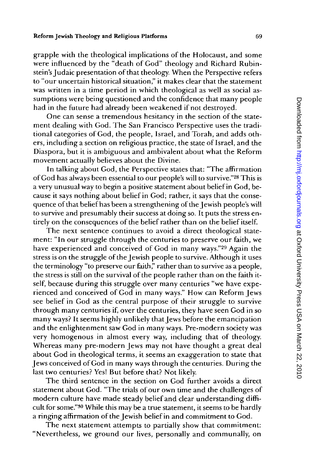grapple with the theological implications of the Holocaust, and some were influenced by the "death of God" theology and Richard Rubinstein's Judaic presentation of that theology. When the Perspective refers to "our uncertain historical situation," it makes clear that the statement was written in a time period in which theological as well as social assumptions were being questioned and the confidence that many people had in the future had already been weakened if not destroyed.

One can sense a tremendous hesitancy in the section of the statement dealing with God. The San Francisco Perspective uses the traditional categories of God, the people, Israel, and Torah, and adds others, including a section on religious practice, the state of Israel, and the Diaspora, but it is ambiguous and ambivalent about what the Reform movement actually believes about the Divine.

In talking about God, the Perspective states that: "The affirmation of God has always been essential to our people's will to survive."<sup>28</sup> This is a very unusual way to begin a positive statement about belief in God, because it says nothing about belief in God; rather, it says that the consequence of that belief has been a strengthening of die Jewish people's will to survive and presumably their success at doing so. It puts the stress entirely on the consequences of the belief rather than on the belief itself.

The next sentence continues to avoid a direct theological statement: "In our struggle through the centuries to preserve our faith, we have experienced and conceived of God in many ways."<sup>29</sup> Again the stress is on the struggle of the Jewish people to survive. Although it uses the terminology "to preserve our faith," rather than to survive as a people, the stress is still on the survival of the people rather than on the faith itself, because during this struggle over many centuries "we have experienced and conceived of God in many ways." How can Reform Jews see belief in God as the central purpose of their struggle to survive through many centuries if, over the centuries, they have seen God in so many ways? It seems highly unlikely that Jews before the emancipation and the enlightenment saw God in many ways. Pre-modern society was very homogenous in almost every way, including that of theology. Whereas many pre-modern Jews may not have thought a great deal about God in theological terms, it seems an exaggeration to state that Jews conceived of God in many ways through die centuries. During the last two centuries? Yes! But before that? Not likely.

The third sentence in the section on God further avoids a direct statement about God. "The trials of our own time and the challenges of modern culture have made steady belief and clear understanding difficult for some." $^{30}$  While this may be a true statement, it seems to be hardly a ringing affirmation of the Jewish belief in and commitment to God.

The next statement attempts to partially show that commitment: "Nevertheless, we ground our lives, personally and communally, on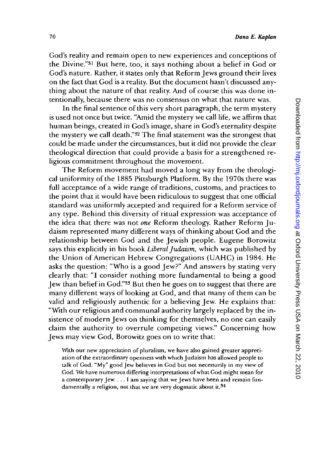God's reality and remain open to new experiences and conceptions of the Divine."<sup>31</sup> But here, too, it says nothing about a belief in God or God's nature. Rather, it states only that Reform Jews ground their lives on the fact that God is a reality. But the document hasn't discussed anything about the nature of that reality. And of course this was done intentionally, because there was no consensus on what that nature was.

In the final sentence of this very short paragraph, the term mystery is used not once but twice. "Amid die mystery we call life, we affirm that human beings, created in God's image, share in God's eternality despite the mystery we call death."<sup>32</sup> The final statement was the strongest that could be made under the circumstances, but it did not provide the clear theological direction that could provide a basis for a strengthened religious commitment throughout the movement.

The Reform movement had moved a long way from the theological uniformity of the 1885 Pittsburgh Platform. By the 1970s there was full acceptance of a wide range of traditions, customs, and practices to the point that it would have been ridiculous to suggest that one official standard was uniformly accepted and required for a Reform service of any type. Behind this diversity of ritual expression was acceptance of the idea that there was not one Reform theology. Rather Reform Judaism represented many different ways of thinking about God and the relationship between God and the Jewish people. Eugene Borowitz says this explicitly in his book *Liberal Judaism,* which was published by the Union of American Hebrew Congregations (UAHC) in 1984. He asks the question: "Who is a good Jew?" And answers by stating very clearly that: "I consider nothing more fundamental to being a good Jew than belief in God."<sup>33</sup> But then he goes on to suggest that there are many different ways of looking at God, and that many of them can be valid and religiously authentic for a believing Jew. He explains that: "With our religious and communal authority largely replaced by the insistence of modern Jews on thinking for themselves, no one can easily claim the authority to overrule competing views." Concerning how Jews may view God, Borowitz goes on to write that:

With our new appreciation of pluralism, we have also gained greater appreciation of the extraordinary openness with which Judaism has allowed people to talk of God. "My" good Jew believes in God but not necessarily in my view of God. We have numerous differing interpretations of what God might mean for a contemporary Jew.  $\dots$  I am saying that we Jews have been and remain fundamentally a religion, not that we are very dogmatic about it.<sup>34</sup>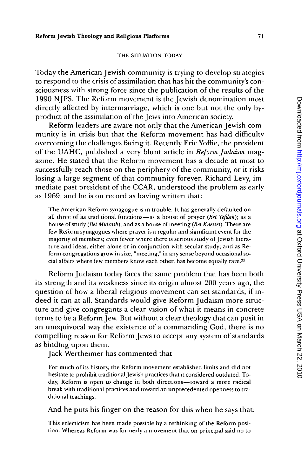#### THE SITUATION TODAY

Today the American Jewish community is trying to develop strategies to respond to the crisis of assimilation that has hit the community's consciousness with strong force since the publication of the results of the 1990 NJPS. The Reform movement is the Jewish denomination most directly affected by intermarriage, which is one but not the only byproduct of the assimilation of the Jews into American society.

Reform leaders are aware not only that the American Jewish community is in crisis but that the Reform movement has had difficulty overcoming the challenges facing it. Recently Eric Yoffie, the president of the UAHC, published a very blunt article in *Reform Judaism* magazine. He stated that the Reform movement has a decade at most to successfully reach those on the periphery of the community, or it risks losing a large segment of that community forever. Richard Levy, immediate past president of the CCAR, understood the problem as early as 1969, and he is on record as having written that:

The American Reform synagogue is in trouble. It has generally defaulted on all three of its traditional functions—as a house of prayer *(Bet Tefilah);* as a house of study *(Bet Midrash);* and as a house of meeting *(Bet Knesset).* There are few Reform synagogues where prayer is a regular and significant event for the majority of members; even fewer where there is serious study of Jewish literature and ideas, either alone or in conjunction with secular study; and as Reform congregations grow in size, "meeting," in any sense beyond occasional social affairs where few members know each other, has become equally rare.<sup>35</sup>

Reform Judaism today faces the same problem that has been both its strength and its weakness since its origin almost 200 years ago, the question of how a liberal religious movement can set standards, if indeed it can at all. Standards would give Reform Judaism more structure and give congregants a clear vision of what it means in concrete terms to be a Reform Jew. But without a clear theology that can posit in an unequivocal way the existence of a commanding God, there is no compelling reason for Reform Jews to accept any system of standards as binding upon them.

Jack Wertheimer has commented that

For much of its history, the Reform movement established limits and did not hesitate to prohibit traditional Jewish practices that it considered outdated. Today, Reform is open to change in both directions—toward a more radical break with traditional practices and toward an unprecedented openness to traditional teachings.

And he puts his finger on the reason for this when he says that:

This eclecticism has been made possible by a rethinking of the Reform position. Whereas Reform was formerly a movement that on principal said no to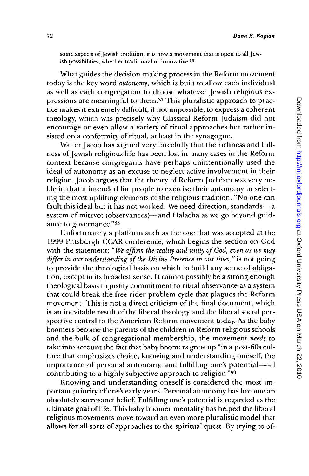some aspects of Jewish tradition, it is now a movement that is open to all Jewish possibilities, whether traditional or innovative.<sup>56</sup>

What guides the decision-making process in the Reform movement today is the key word *autonomy,* which is built to allow each individual as well as each congregation to choose whatever Jewish religious expressions are meaningful to them.<sup>37</sup> This pluralistic approach to practice makes it extremely difficult, if not impossible, to express a coherent theology, which was precisely why Classical Reform Judaism did not encourage or even allow a variety of ritual approaches but rather insisted on a conformity of ritual, at least in the synagogue.

Walter Jacob has argued very forcefully that the richness and fullness of Jewish religious life has been lost in many cases in the Reform context because congregants have perhaps unintentionally used the ideal of autonomy as an excuse to neglect active involvement in their religion. Jacob argues that the theory of Reform Judaism was very noble in that it intended for people to exercise their autonomy in selecting the most uplifting elements of die religious tradition. "No one can fault this ideal but it has not worked. We need direction, standards—a system of mitzvot (observances)—and Halacha as we go beyond guidance to governance."<sup>38</sup>

Unfortunately a platform such as the one that was accepted at the 1999 Pittsburgh CCAR conference, which begins the section on God with the statement: "We affirm the reality and unity of God, even as we may *differ in our understanding of the Divine Presence in our lives,"* is not going to provide the theological basis on which to build any sense of obligation, except in its broadest sense. It cannot possibly be a strong enough theological basis to justify commitment to ritual observance as a system that could break the free rider problem cycle that plagues the Reform movement. This is not a direct criticism of the final document, which is an inevitable result of the liberal theology and the liberal social perspective central to the American Reform movement today. As the baby boomers become the parents of the children in Reform religious schools and the bulk of congregational membership, the movement *needs* to take into account the fact that baby boomers grew up "in a post-60s culture that emphasizes choice, knowing and understanding oneself, the importance of personal autonomy, and fulfilling one's potential—all contributing to a highly subjective approach to religion."<sup>39</sup>

Knowing and understanding oneself is considered the most important priority of one's early years. Personal autonomy has become an absolutely sacrosanct belief. Fulfilling one's potential is regarded as the ultimate goal of life. This baby boomer mentality has helped the liberal religious movements move toward an even more pluralistic model that allows for all sorts of approaches to the spiritual quest. By trying to of-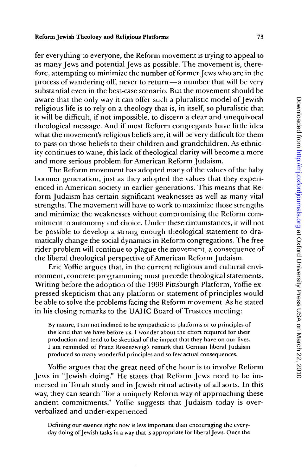fer everything to everyone, the Reform movement is trying to appeal to as many Jews and potential Jews as possible. The movement is, therefore, attempting to minimize the number of former Jews who are in the process of wandering off, never to return—a number that will be very substantial even in the best-case scenario. But the movement should be aware that the only way it can offer such a pluralistic model of Jewish religious life is to rely on a theology that is, in itself, so pluralistic that it will be difficult, if not impossible, to discern a clear and unequivocal theological message. And if most Reform congregants have little idea what the movement's religious beliefs are, it will be very difficult for them to pass on those beliefs to their children and grandchildren. As ethnicity continues to wane, this lack of theological clarity will become a more and more serious problem for American Reform Judaism.

The Reform movement has adopted many of the values of the baby boomer generation, just as they adopted the values that they experienced in American society in earlier generations. This means that Reform Judaism has certain significant weaknesses as well as many vital strengths. The movement will have to work to maximize those strengths and minimize the weaknesses without compromising the Reform commitment to autonomy and choice. Under these circumstances, it will not be possible to develop a strong enough theological statement to dramatically change the social dynamics in Reform congregations. The free rider problem will continue to plague the movement, a consequence of the liberal theological perspective of American Reform Judaism.

Eric Yoffie argues that, in the current religious and cultural environment, concrete programming must precede theological statements. Writing before the adoption of the 1999 Pittsburgh Platform, Yoffie expressed skepticism that any platform or statement of principles would be able to solve the problems facing the Reform movement. As he stated in his closing remarks to the UAHC Board of Trustees meeting:

By nature, I am not inclined to be sympathetic to platforms or to principles of the kind that we have before us. I wonder about the effort required for their production and tend to be skeptical of the impact that they have on our lives. I am reminded of Franz Rosenzweig's remark that German liberal Judaism produced so many wonderful principles and so few actual consequences.

Yoffie argues that the great need of the hour is to involve Reform Jews in "Jewish doing." He states that Reform Jews need to be immersed in Torah study and in Jewish ritual activity of all sorts. In this way, they can search "for a uniquely Reform way of approaching these ancient commitments." Yoffie suggests that Judaism today is oververbalized and under-experienced.

Defining our essence right now is less important than encouraging the everyday doing of Jewish tasks in a way that is appropriate for liberal Jews. Once the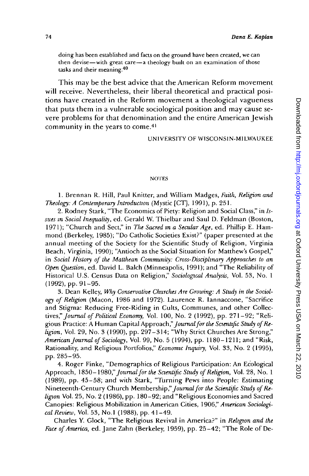doing has been established and facts on the ground have been created, we can then devise—with great care—a theology built on an examination of those tasks and their meaning.<sup>40</sup>

This may be the best advice that the American Reform movement will receive. Nevertheless, their liberal theoretical and practical positions have created in the Reform movement a theological vagueness that puts them in a vulnerable sociological position and may cause severe problems for that denomination and the entire American Jewish community in the years to come.<sup>41</sup>

UNIVERSITY OF WISCONSIN-MILWAUKEE

#### **NOTES**

1. Brennan R. Hill, Paul Knitter, and William Madges, *Faith, Religion and Theology: A Contemporary Introduction* (Mystic [CT], 1991), p. 251.

2. Rodney Stark, "The Economics of Piety: Religion and Social Class," in *Issues in Social Inequality,* ed. Gerald W. Thielbar and Saul D. Feldman (Boston, 1971); "Church and Sect," in *Tlie Sacred m a Secular Age,* ed. Phillip E. Hammond (Berkeley, 1985); "Do Catholic Societies Exist?" (paper presented at the annual meeting of the Society for the Scientific Study of Religion, Virginia Beach, Virginia, 1990); "Antioch as the Social Situation for Matthew's Gospel," in *Social History of the Matihean Community: Cross-Disciplinary Approaches to an Open Question,* ed. David L. Balch (Minneapolis, 1991); and "The Reliability of Historical U.S. Census Data on Religion," *Sociological Analysis,* Vol. 53, No. 1 (1992), pp. 91-95.

3. Dean Kelley, *Why Conservative Churclies Are Growing: A Study in tlie Sociology of Religion* (Macon, 1986 and 1972). Laurence R. lannaccone, "Sacrifice and Stigma: Reducing Free-Riding in Cults, Communes, and other Collectives," *Journal of Political Economy,* Vol. 100, No. 2 (1992), pp. 271-92; "Religious Practice: A Human Capital Approach," Journal for the Scientific Study of Re*ligion,* Vol. 29, No. 3 (1990), pp. 297-314; "Why Strict Churches Are Strong," *American Journal of Sociology,* Vol. 99, No. 5 (1994), pp. 1180-1211; and "Risk, Rationality, and Religious Portfolios," *Economic Inquiry,* Vol. 33, No. 2 (1995), pp. 285-95.

4. Roger Finke, "Demographics of Religious Participation: An Ecological Approach, 1850-1980," *Journal for llie Scientific Study of Religion,* Vol. 28, No. 1 (1989), pp. 45-58; and with Stark, "Turning Pews into People: Estimating Nineteenth-Century Church *Membership" Journal for the Scientific Study of Religion* Vol. 25, No. 2 (1986), pp. 180-92; and "Religious Economies and Sacred Canopies: Religious Mobilization in American Cities, 1906," *American Sociological Review,* Vol. 53, No.l (1988), pp. 41-49.

Charles Y. Glock, "The Religious Revival in America?" in *Religion and the Face of America,* ed. Jane Zahn (Berkeley, 1959), pp. 25-42; "The Role of De-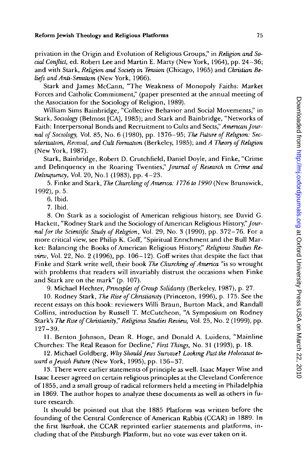privation in the Origin and Evolution of Religious Groups," in *Religion and Social Conflict,* ed. Robert Lee and Martin E. Marty (New York, 1964), pp. 24-36; and with Stark, *Religion and Society in Tension* (Chicago, 1965) and *Christian Beliefs and Anti-Semitism* (New York, 1966).

Stark and James McCann, "The Weakness of Monopoly Faiths: Market Forces and Catholic Commitment," (paper presented at the annual meeting of the Association for the Sociology of Religion, 1989).

William Sims Bainbridge, "Collective Behavior and Social Movements," in Stark, *Sociology* (Belmost [CA], 1985); and Stark and Bainbridge, "Networks of Faith: Interpersonal Bonds and Recruitment to Cults and Sects," *American Journal of Sociology,* Vol. 85, No. 6 (1980), pp. 1376-95; *The Future of Religion: Secularization, Revival, and Cull Formation* (Berkeley, 1985); and *A Theory of Religion* (New York, 1987).

Stark, Bainbridge, Robert D. Crutchfield, Daniel Doyle, and Finke, "Crime and Delinquency in the Roaring Twenties," *Journal of Research in Crime and Delinquency,* Vol. 20, No.l (1983), pp. 4-23.

5. Finke and Stark, *The Churching of America: 1776 to 1990* (New Brunswick, 1992), p. 5.

6. Ibid.

7. Ibid.

8. On Stark as a sociologist of American religious history, see David G. Hackett, "Rodney Stark and the Sociology of American Religious History," Jour*nalforthe Scientific Study of Religion,* Vol. 29, No. 3 (1990), pp. 372-76. For a more critical view, see Philip K. Goff, "Spiritual Enrichment and the Bull Market: Balancing the Books of American Religious History," *Religious Studies Review,* Vol. 22, No. 2 (1996), pp. 106-12). Goff writes that despite the fact that Finke and Stark write well, their book *Tlie Churching of America* "is so wrought with problems that readers will invariably distrust the occasions when Finke and Stark are on the mark" (p. 107).

9. Michael Hechter, *Principles of Group Solidarity* (Berkeley, 1987), p. 27.

10. Rodney Stark, *Tlie Rise of Christianity* (Princeton, 1996), p. 175. See the recent essays on this book: reviewers **Willi** Braun, Burton Mack, and Randall Collins, introduction by Russell T. McCutcheon, "A Symposium on Rodney Stark's *The Rise of Christianity," Religious Studies Review,* Vol. 25, No. 2 (1999), pp. 127-39.

11. Benton Johnson, Dean R. Hoge, and Donald A. Luidens, "Mainline Churches: The Real Reason for Decline" *First Things,* No. 31 (1993), p. 18.

12. Michael Goldberg, *Why Should Jews Survive? Looking Past the Holocaust toward a Jewish Future* (New York, 1995), pp. 136-37.

13. There were earlier statements of principle as well. Isaac Mayer Wise and Isaac Leeser agreed on certain religious principles at the Cleveland Conference of 1855, and a small group of radical reformers held a meeting in Philadelphia in 1869. The author hopes to analyze these documents as well as others in future research.

It should be pointed out that the 1885 Platform was written before the founding of the Central Conference of American Rabbis (CCAR) in 1889. In the first *Yearbook,* the CCAR reprinted earlier statements and platforms, including that of the Pittsburgh Platform, but no vote was ever taken on it.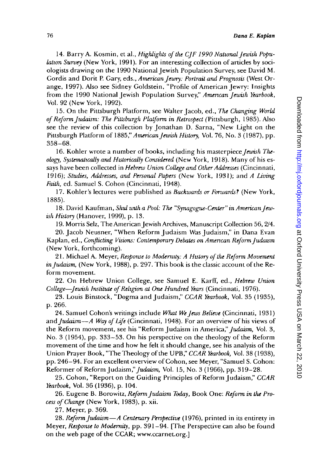14. Barry A. Kosmin, et al., *Highlights of tlie CJF 1990 National Jewish Population Survey* (New York, 1991). For an interesting collection of articles by sociologists drawing on the 1990 National Jewish Population Survey, see David M. Gordis and Dorit P. Gary, eds., *American Jewry: Portrait and Prognosis* (West Orange, 1997). Also see Sidney Goldstein, "Profile of American Jewry: Insights from the 1990 National Jewish Population Survey," *American Jewish Yearbook,* Vol. 92 (New York, 1992).

15. On the Pittsburgh Platform, see Walter Jacob, ed., *Tlie Changing World of Reform Judaism: The Pittsburgh Platform, in Retrospect* (Pittsburgh, 1985). Also see the review of this collection by Jonathan D. Sarna, "New Light on the Pittsburgh Platform of 1885," *American Jewish History,* Vol. 76, No. 3 (1987), pp. 358-68.

16. Kohler wrote a number of books, including his masterpiece *Jewish Theology, Systematically and Historically Considered* (New York, 1918). Many of his essays have been collected in *Hebrew Union College and Other Addresses* (Cincinnati, 1916); *Studies, Addresses, and Personal Papers* (New York, 1931); and *A Living Faith,* ed. Samuel S. Cohon (Cincinnati, 1948).

17. Kohler's lectures were published as *backwards or Forwards?* (New York, 1885).

18. David Kaufman, *Shid with a Pool: The "Synagogue-Center" in American Jewish History* (Hanover, 1999), p. 13.

19. Morris Selz, The American Jewish Archives, Manuscript Collection 56, 2/4.

20. Jacob Neusner, "When Reform Judaism Was Judaism," in Dana Evan Kaplan, ed., *Conflicting Visions: Contemporary Debates on American Reform Judaism* (New York, forthcoming).

21. Michael A, Meyer, *Response to Modernity: A History of the Reform Movement in Judaism,* (New York, 1988), p. 297. This book is the classic account of the Reform movement.

22. On Hebrew Union College, see Samuel E. Karff, ed., *Hebrew Union College*—*Jewish Institute of Religion at One Hundred Years* (Cincinnati, 1976).

23. Louis Binstock, "Dogma and Judaism," *CCAR Yearbook,* Vol. 35 (1935), p. 266.

24. Samuel Cohon's writings include *What We Jews Believe* (Cincinnati, 1931) and *Judaism*—*A Way of Life* (Cincinnati, 1948). For an overview of his views of the Reform movement, see his "Reform Judaism in America," *Judaism,* Vol. 3, No. 3 (1954), pp. 333-53. On his perspective on the theology of the Reform movement of the time and how he felt it should change, see his analysis of the Union Prayer Book, "The Theology of the UPB," *CCAR Yearbook,* Vol. 38 (1938), pp. 246-94. For an excellent overview of Cohon, see Meyer, "Samuel S. Cohon: Reformer of Reform Judaism," *Judaism,* Vol. 15, No. 3 (1966), pp. 319-28.

25. Cohon, "Report on the Guiding Principles of Reform Judaism," *CCAR Yearbook,* Vol. 36 (1936), p. 104.

26. Eugene B. Borowitz, *Reform Judaism Today,* Book One: *Reform in the Process ofCliange* (New York, 1983), p. xii.

27. Meyer, p. 369.

28. *Reform Judaism*—*A Centenary Perspective* (1976), printed in its entirety in Meyer, *Response to Modernity,* pp. 391-94. [The Perspective can also be found on the web page of the CCAR; www.ccarnet.org.]